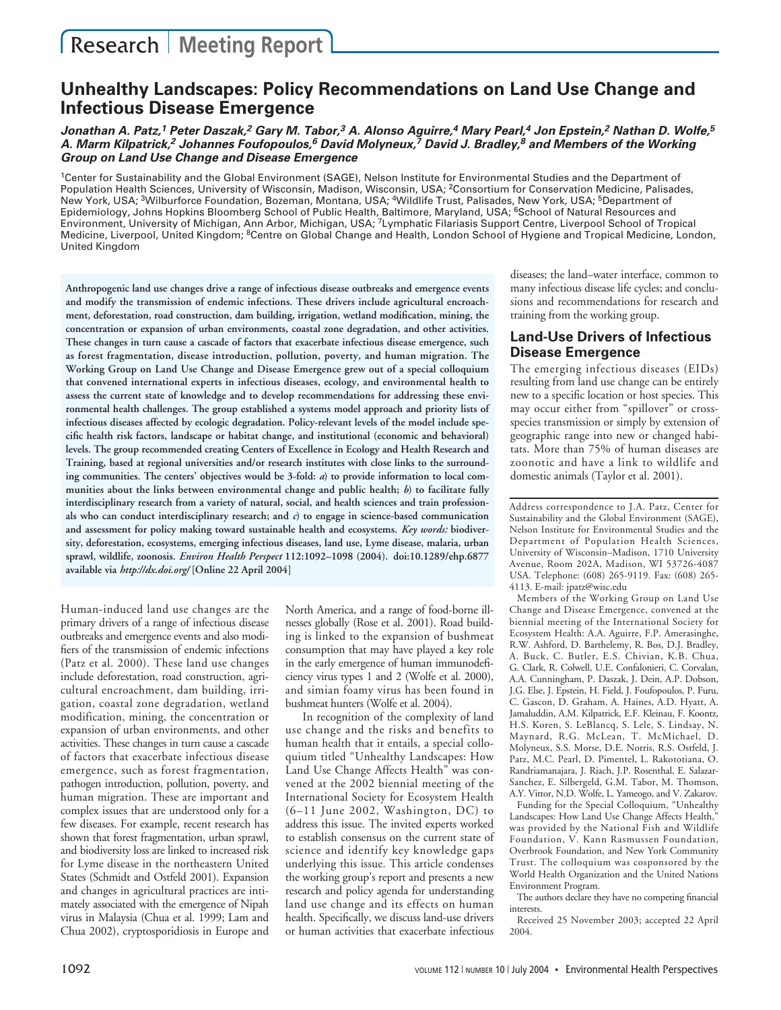# **Unhealthy Landscapes: Policy Recommendations on Land Use Change and Infectious Disease Emergence**

*Jonathan A. Patz,1 Peter Daszak,2 Gary M. Tabor,3 A. Alonso Aguirre,4 Mary Pearl,4 Jon Epstein,2 Nathan D. Wolfe,5 A. Marm Kilpatrick,2 Johannes Foufopoulos,6 David Molyneux,7 David J. Bradley,8 and Members of the Working Group on Land Use Change and Disease Emergence*

1Center for Sustainability and the Global Environment (SAGE), Nelson Institute for Environmental Studies and the Department of Population Health Sciences, University of Wisconsin, Madison, Wisconsin, USA; <sup>2</sup>Consortium for Conservation Medicine, Palisades, New York, USA; <sup>3</sup>Wilburforce Foundation, Bozeman, Montana, USA; <sup>4</sup>Wildlife Trust, Palisades, New York, USA; <sup>5</sup>Department of Epidemiology, Johns Hopkins Bloomberg School of Public Health, Baltimore, Maryland, USA; <sup>6</sup>School of Natural Resources and Environment, University of Michigan, Ann Arbor, Michigan, USA; 7Lymphatic Filariasis Support Centre, Liverpool School of Tropical Medicine, Liverpool, United Kingdom; 8Centre on Global Change and Health, London School of Hygiene and Tropical Medicine, London, United Kingdom

**Anthropogenic land use changes drive a range of infectious disease outbreaks and emergence events and modify the transmission of endemic infections. These drivers include agricultural encroachment, deforestation, road construction, dam building, irrigation, wetland modification, mining, the concentration or expansion of urban environments, coastal zone degradation, and other activities. These changes in turn cause a cascade of factors that exacerbate infectious disease emergence, such as forest fragmentation, disease introduction, pollution, poverty, and human migration. The Working Group on Land Use Change and Disease Emergence grew out of a special colloquium that convened international experts in infectious diseases, ecology, and environmental health to assess the current state of knowledge and to develop recommendations for addressing these environmental health challenges. The group established a systems model approach and priority lists of infectious diseases affected by ecologic degradation. Policy-relevant levels of the model include specific health risk factors, landscape or habitat change, and institutional (economic and behavioral) levels. The group recommended creating Centers of Excellence in Ecology and Health Research and Training, based at regional universities and/or research institutes with close links to the surrounding communities. The centers' objectives would be 3-fold:** *a***) to provide information to local communities about the links between environmental change and public health;** *b***) to facilitate fully interdisciplinary research from a variety of natural, social, and health sciences and train professionals who can conduct interdisciplinary research; and** *c***) to engage in science-based communication and assessment for policy making toward sustainable health and ecosystems.** *Key words:* **biodiversity, deforestation, ecosystems, emerging infectious diseases, land use, Lyme disease, malaria, urban sprawl, wildlife, zoonosis.** *Environ Health Perspect* **112:1092–1098 (2004). doi:10.1289/ehp.6877 available via** *http://dx.doi.org/* **[Online 22 April 2004]**

Human-induced land use changes are the primary drivers of a range of infectious disease outbreaks and emergence events and also modifiers of the transmission of endemic infections (Patz et al. 2000). These land use changes include deforestation, road construction, agricultural encroachment, dam building, irrigation, coastal zone degradation, wetland modification, mining, the concentration or expansion of urban environments, and other activities. These changes in turn cause a cascade of factors that exacerbate infectious disease emergence, such as forest fragmentation, pathogen introduction, pollution, poverty, and human migration. These are important and complex issues that are understood only for a few diseases. For example, recent research has shown that forest fragmentation, urban sprawl, and biodiversity loss are linked to increased risk for Lyme disease in the northeastern United States (Schmidt and Ostfeld 2001). Expansion and changes in agricultural practices are intimately associated with the emergence of Nipah virus in Malaysia (Chua et al. 1999; Lam and Chua 2002), cryptosporidiosis in Europe and

North America, and a range of food-borne illnesses globally (Rose et al. 2001). Road building is linked to the expansion of bushmeat consumption that may have played a key role in the early emergence of human immunodeficiency virus types 1 and 2 (Wolfe et al. 2000), and simian foamy virus has been found in bushmeat hunters (Wolfe et al. 2004).

In recognition of the complexity of land use change and the risks and benefits to human health that it entails, a special colloquium titled "Unhealthy Landscapes: How Land Use Change Affects Health" was convened at the 2002 biennial meeting of the International Society for Ecosystem Health (6–11 June 2002, Washington, DC) to address this issue. The invited experts worked to establish consensus on the current state of science and identify key knowledge gaps underlying this issue. This article condenses the working group's report and presents a new research and policy agenda for understanding land use change and its effects on human health. Specifically, we discuss land-use drivers or human activities that exacerbate infectious

diseases; the land–water interface, common to many infectious disease life cycles; and conclusions and recommendations for research and training from the working group.

#### **Land-Use Drivers of Infectious Disease Emergence**

The emerging infectious diseases (EIDs) resulting from land use change can be entirely new to a specific location or host species. This may occur either from "spillover" or crossspecies transmission or simply by extension of geographic range into new or changed habitats. More than 75% of human diseases are zoonotic and have a link to wildlife and domestic animals (Taylor et al. 2001).

Address correspondence to J.A. Patz, Center for Sustainability and the Global Environment (SAGE), Nelson Institute for Environmental Studies and the Department of Population Health Sciences, University of Wisconsin–Madison, 1710 University Avenue, Room 202A, Madison, WI 53726-4087 USA. Telephone: (608) 265-9119. Fax: (608) 265- 4113. E-mail: jpatz@wisc.edu

Members of the Working Group on Land Use Change and Disease Emergence, convened at the biennial meeting of the International Society for Ecosystem Health: A.A. Aguirre, F.P. Amerasinghe, R.W. Ashford, D. Barthelemy, R. Bos, D.J. Bradley, A. Buck, C. Butler, E.S. Chivian, K.B. Chua, G. Clark, R. Colwell, U.E. Confalonieri, C. Corvalan, A.A. Cunningham, P. Daszak, J. Dein, A.P. Dobson, J.G. Else, J. Epstein, H. Field, J. Foufopoulos, P. Furu, C. Gascon, D. Graham, A. Haines, A.D. Hyatt, A. Jamaluddin, A.M. Kilpatrick, E.F. Kleinau, F. Koontz, H.S. Koren, S. LeBlancq, S. Lele, S. Lindsay, N. Maynard, R.G. McLean, T. McMichael, D. Molyneux, S.S. Morse, D.E. Norris, R.S. Ostfeld, J. Patz, M.C. Pearl, D. Pimentel, L. Rakototiana, O. Randriamanajara, J. Riach, J.P. Rosenthal, E. Salazar-Sanchez, E. Silbergeld, G.M. Tabor, M. Thomson, A.Y. Vittor, N.D. Wolfe, L. Yameogo, and V. Zakarov.

Funding for the Special Colloquium, "Unhealthy Landscapes: How Land Use Change Affects Health," was provided by the National Fish and Wildlife Foundation, V. Kann Rasmussen Foundation, Overbrook Foundation, and New York Community Trust. The colloquium was cosponsored by the World Health Organization and the United Nations Environment Program.

The authors declare they have no competing financial interests.

Received 25 November 2003; accepted 22 April 2004.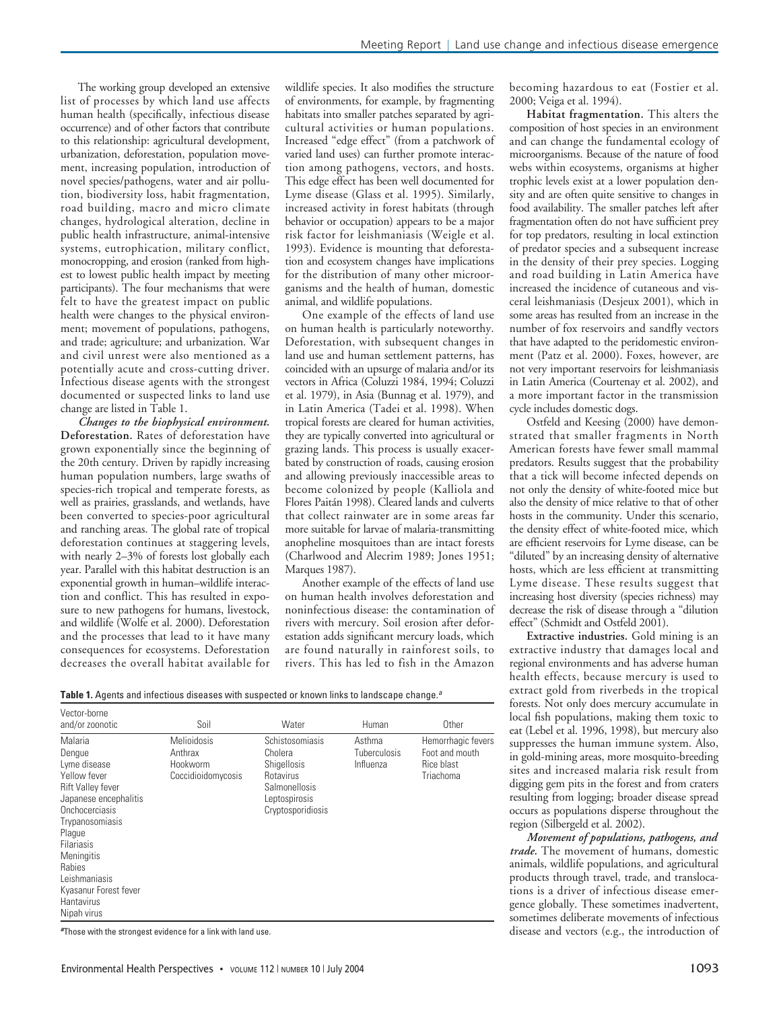The working group developed an extensive list of processes by which land use affects human health (specifically, infectious disease occurrence) and of other factors that contribute to this relationship: agricultural development, urbanization, deforestation, population movement, increasing population, introduction of novel species/pathogens, water and air pollution, biodiversity loss, habit fragmentation, road building, macro and micro climate changes, hydrological alteration, decline in public health infrastructure, animal-intensive systems, eutrophication, military conflict, monocropping, and erosion (ranked from highest to lowest public health impact by meeting participants). The four mechanisms that were felt to have the greatest impact on public health were changes to the physical environment; movement of populations, pathogens, and trade; agriculture; and urbanization. War and civil unrest were also mentioned as a potentially acute and cross-cutting driver. Infectious disease agents with the strongest documented or suspected links to land use change are listed in Table 1.

*Changes to the biophysical environment.* **Deforestation.** Rates of deforestation have grown exponentially since the beginning of the 20th century. Driven by rapidly increasing human population numbers, large swaths of species-rich tropical and temperate forests, as well as prairies, grasslands, and wetlands, have been converted to species-poor agricultural and ranching areas. The global rate of tropical deforestation continues at staggering levels, with nearly 2–3% of forests lost globally each year. Parallel with this habitat destruction is an exponential growth in human–wildlife interaction and conflict. This has resulted in exposure to new pathogens for humans, livestock, and wildlife (Wolfe et al. 2000). Deforestation and the processes that lead to it have many consequences for ecosystems. Deforestation decreases the overall habitat available for

wildlife species. It also modifies the structure of environments, for example, by fragmenting habitats into smaller patches separated by agricultural activities or human populations. Increased "edge effect" (from a patchwork of varied land uses) can further promote interaction among pathogens, vectors, and hosts. This edge effect has been well documented for Lyme disease (Glass et al. 1995). Similarly, increased activity in forest habitats (through behavior or occupation) appears to be a major risk factor for leishmaniasis (Weigle et al. 1993). Evidence is mounting that deforestation and ecosystem changes have implications for the distribution of many other microorganisms and the health of human, domestic animal, and wildlife populations.

One example of the effects of land use on human health is particularly noteworthy. Deforestation, with subsequent changes in land use and human settlement patterns, has coincided with an upsurge of malaria and/or its vectors in Africa (Coluzzi 1984, 1994; Coluzzi et al. 1979), in Asia (Bunnag et al. 1979), and in Latin America (Tadei et al. 1998). When tropical forests are cleared for human activities, they are typically converted into agricultural or grazing lands. This process is usually exacerbated by construction of roads, causing erosion and allowing previously inaccessible areas to become colonized by people (Kalliola and Flores Paitán 1998). Cleared lands and culverts that collect rainwater are in some areas far more suitable for larvae of malaria-transmitting anopheline mosquitoes than are intact forests (Charlwood and Alecrim 1989; Jones 1951; Marques 1987).

Another example of the effects of land use on human health involves deforestation and noninfectious disease: the contamination of rivers with mercury. Soil erosion after deforestation adds significant mercury loads, which are found naturally in rainforest soils, to rivers. This has led to fish in the Amazon

**Table 1.** Agents and infectious diseases with suspected or known links to landscape change.*<sup>a</sup>*

| Vector-borne<br>and/or zoonotic                                                                                                                                                                                                                                                  | Soil                                                     | Water                                                                                                                | Human                               | Other                                                           |
|----------------------------------------------------------------------------------------------------------------------------------------------------------------------------------------------------------------------------------------------------------------------------------|----------------------------------------------------------|----------------------------------------------------------------------------------------------------------------------|-------------------------------------|-----------------------------------------------------------------|
| Malaria<br>Dengue<br>Lyme disease<br>Yellow fever<br><b>Rift Valley fever</b><br>Japanese encephalitis<br>Onchocerciasis<br>Trypanosomiasis<br>Plague<br><b>Filariasis</b><br>Meningitis<br>Rabies<br>Leishmaniasis<br>Kyasanur Forest fever<br><b>Hantavirus</b><br>Nipah virus | Melioidosis<br>Anthrax<br>Hookworm<br>Coccidioidomycosis | Schistosomiasis<br>Cholera<br><b>Shigellosis</b><br>Rotavirus<br>Salmonellosis<br>Leptospirosis<br>Cryptosporidiosis | Asthma<br>Tuberculosis<br>Influenza | Hemorrhagic fevers<br>Foot and mouth<br>Rice blast<br>Triachoma |

*<sup>a</sup>*Those with the strongest evidence for a link with land use.

becoming hazardous to eat (Fostier et al. 2000; Veiga et al. 1994).

**Habitat fragmentation.** This alters the composition of host species in an environment and can change the fundamental ecology of microorganisms. Because of the nature of food webs within ecosystems, organisms at higher trophic levels exist at a lower population density and are often quite sensitive to changes in food availability. The smaller patches left after fragmentation often do not have sufficient prey for top predators, resulting in local extinction of predator species and a subsequent increase in the density of their prey species. Logging and road building in Latin America have increased the incidence of cutaneous and visceral leishmaniasis (Desjeux 2001), which in some areas has resulted from an increase in the number of fox reservoirs and sandfly vectors that have adapted to the peridomestic environment (Patz et al. 2000). Foxes, however, are not very important reservoirs for leishmaniasis in Latin America (Courtenay et al. 2002), and a more important factor in the transmission cycle includes domestic dogs.

Ostfeld and Keesing (2000) have demonstrated that smaller fragments in North American forests have fewer small mammal predators. Results suggest that the probability that a tick will become infected depends on not only the density of white-footed mice but also the density of mice relative to that of other hosts in the community. Under this scenario, the density effect of white-footed mice, which are efficient reservoirs for Lyme disease, can be "diluted" by an increasing density of alternative hosts, which are less efficient at transmitting Lyme disease. These results suggest that increasing host diversity (species richness) may decrease the risk of disease through a "dilution effect" (Schmidt and Ostfeld 2001).

**Extractive industries.** Gold mining is an extractive industry that damages local and regional environments and has adverse human health effects, because mercury is used to extract gold from riverbeds in the tropical forests. Not only does mercury accumulate in local fish populations, making them toxic to eat (Lebel et al. 1996, 1998), but mercury also suppresses the human immune system. Also, in gold-mining areas, more mosquito-breeding sites and increased malaria risk result from digging gem pits in the forest and from craters resulting from logging; broader disease spread occurs as populations disperse throughout the region (Silbergeld et al. 2002).

*Movement of populations, pathogens, and trade.* The movement of humans, domestic animals, wildlife populations, and agricultural products through travel, trade, and translocations is a driver of infectious disease emergence globally. These sometimes inadvertent, sometimes deliberate movements of infectious disease and vectors (e.g., the introduction of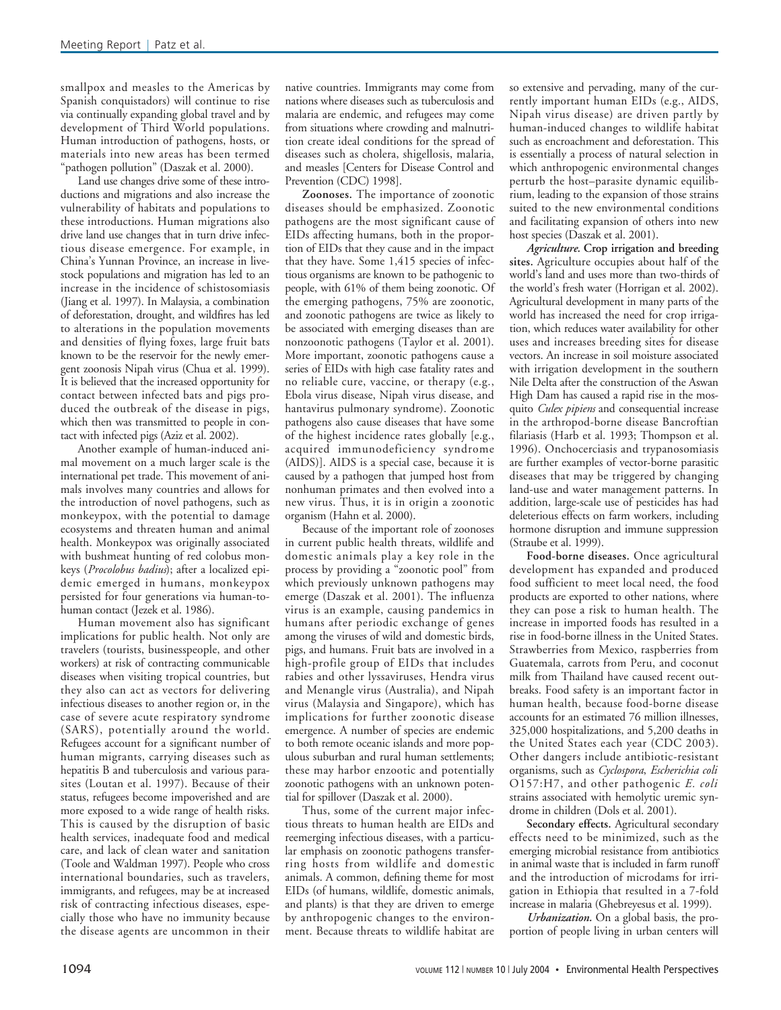smallpox and measles to the Americas by Spanish conquistadors) will continue to rise via continually expanding global travel and by development of Third World populations. Human introduction of pathogens, hosts, or materials into new areas has been termed "pathogen pollution" (Daszak et al. 2000).

Land use changes drive some of these introductions and migrations and also increase the vulnerability of habitats and populations to these introductions. Human migrations also drive land use changes that in turn drive infectious disease emergence. For example, in China's Yunnan Province, an increase in livestock populations and migration has led to an increase in the incidence of schistosomiasis (Jiang et al. 1997). In Malaysia, a combination of deforestation, drought, and wildfires has led to alterations in the population movements and densities of flying foxes, large fruit bats known to be the reservoir for the newly emergent zoonosis Nipah virus (Chua et al. 1999). It is believed that the increased opportunity for contact between infected bats and pigs produced the outbreak of the disease in pigs, which then was transmitted to people in contact with infected pigs (Aziz et al. 2002).

Another example of human-induced animal movement on a much larger scale is the international pet trade. This movement of animals involves many countries and allows for the introduction of novel pathogens, such as monkeypox, with the potential to damage ecosystems and threaten human and animal health. Monkeypox was originally associated with bushmeat hunting of red colobus monkeys (*Procolobus badius*); after a localized epidemic emerged in humans, monkeypox persisted for four generations via human-tohuman contact (Jezek et al. 1986).

Human movement also has significant implications for public health. Not only are travelers (tourists, businesspeople, and other workers) at risk of contracting communicable diseases when visiting tropical countries, but they also can act as vectors for delivering infectious diseases to another region or, in the case of severe acute respiratory syndrome (SARS), potentially around the world. Refugees account for a significant number of human migrants, carrying diseases such as hepatitis B and tuberculosis and various parasites (Loutan et al. 1997). Because of their status, refugees become impoverished and are more exposed to a wide range of health risks. This is caused by the disruption of basic health services, inadequate food and medical care, and lack of clean water and sanitation (Toole and Waldman 1997). People who cross international boundaries, such as travelers, immigrants, and refugees, may be at increased risk of contracting infectious diseases, especially those who have no immunity because the disease agents are uncommon in their

native countries. Immigrants may come from nations where diseases such as tuberculosis and malaria are endemic, and refugees may come from situations where crowding and malnutrition create ideal conditions for the spread of diseases such as cholera, shigellosis, malaria, and measles [Centers for Disease Control and Prevention (CDC) 1998].

**Zoonoses.** The importance of zoonotic diseases should be emphasized. Zoonotic pathogens are the most significant cause of EIDs affecting humans, both in the proportion of EIDs that they cause and in the impact that they have. Some 1,415 species of infectious organisms are known to be pathogenic to people, with 61% of them being zoonotic. Of the emerging pathogens, 75% are zoonotic, and zoonotic pathogens are twice as likely to be associated with emerging diseases than are nonzoonotic pathogens (Taylor et al. 2001). More important, zoonotic pathogens cause a series of EIDs with high case fatality rates and no reliable cure, vaccine, or therapy (e.g., Ebola virus disease, Nipah virus disease, and hantavirus pulmonary syndrome). Zoonotic pathogens also cause diseases that have some of the highest incidence rates globally [e.g., acquired immunodeficiency syndrome (AIDS)]. AIDS is a special case, because it is caused by a pathogen that jumped host from nonhuman primates and then evolved into a new virus. Thus, it is in origin a zoonotic organism (Hahn et al. 2000).

Because of the important role of zoonoses in current public health threats, wildlife and domestic animals play a key role in the process by providing a "zoonotic pool" from which previously unknown pathogens may emerge (Daszak et al. 2001). The influenza virus is an example, causing pandemics in humans after periodic exchange of genes among the viruses of wild and domestic birds, pigs, and humans. Fruit bats are involved in a high-profile group of EIDs that includes rabies and other lyssaviruses, Hendra virus and Menangle virus (Australia), and Nipah virus (Malaysia and Singapore), which has implications for further zoonotic disease emergence. A number of species are endemic to both remote oceanic islands and more populous suburban and rural human settlements; these may harbor enzootic and potentially zoonotic pathogens with an unknown potential for spillover (Daszak et al. 2000).

Thus, some of the current major infectious threats to human health are EIDs and reemerging infectious diseases, with a particular emphasis on zoonotic pathogens transferring hosts from wildlife and domestic animals. A common, defining theme for most EIDs (of humans, wildlife, domestic animals, and plants) is that they are driven to emerge by anthropogenic changes to the environment. Because threats to wildlife habitat are

so extensive and pervading, many of the currently important human EIDs (e.g., AIDS, Nipah virus disease) are driven partly by human-induced changes to wildlife habitat such as encroachment and deforestation. This is essentially a process of natural selection in which anthropogenic environmental changes perturb the host–parasite dynamic equilibrium, leading to the expansion of those strains suited to the new environmental conditions and facilitating expansion of others into new host species (Daszak et al. 2001).

*Agriculture.* **Crop irrigation and breeding sites.** Agriculture occupies about half of the world's land and uses more than two-thirds of the world's fresh water (Horrigan et al. 2002). Agricultural development in many parts of the world has increased the need for crop irrigation, which reduces water availability for other uses and increases breeding sites for disease vectors. An increase in soil moisture associated with irrigation development in the southern Nile Delta after the construction of the Aswan High Dam has caused a rapid rise in the mosquito *Culex pipiens* and consequential increase in the arthropod-borne disease Bancroftian filariasis (Harb et al. 1993; Thompson et al. 1996). Onchocerciasis and trypanosomiasis are further examples of vector-borne parasitic diseases that may be triggered by changing land-use and water management patterns. In addition, large-scale use of pesticides has had deleterious effects on farm workers, including hormone disruption and immune suppression (Straube et al.  $1999$ ).

**Food-borne diseases.** Once agricultural development has expanded and produced food sufficient to meet local need, the food products are exported to other nations, where they can pose a risk to human health. The increase in imported foods has resulted in a rise in food-borne illness in the United States. Strawberries from Mexico, raspberries from Guatemala, carrots from Peru, and coconut milk from Thailand have caused recent outbreaks. Food safety is an important factor in human health, because food-borne disease accounts for an estimated 76 million illnesses, 325,000 hospitalizations, and 5,200 deaths in the United States each year (CDC 2003). Other dangers include antibiotic-resistant organisms, such as *Cyclospora*, *Escherichia coli* O157:H7, and other pathogenic *E. coli* strains associated with hemolytic uremic syndrome in children (Dols et al. 2001).

**Secondary effects.** Agricultural secondary effects need to be minimized, such as the emerging microbial resistance from antibiotics in animal waste that is included in farm runoff and the introduction of microdams for irrigation in Ethiopia that resulted in a 7-fold increase in malaria (Ghebreyesus et al. 1999).

*Urbanization.* On a global basis, the proportion of people living in urban centers will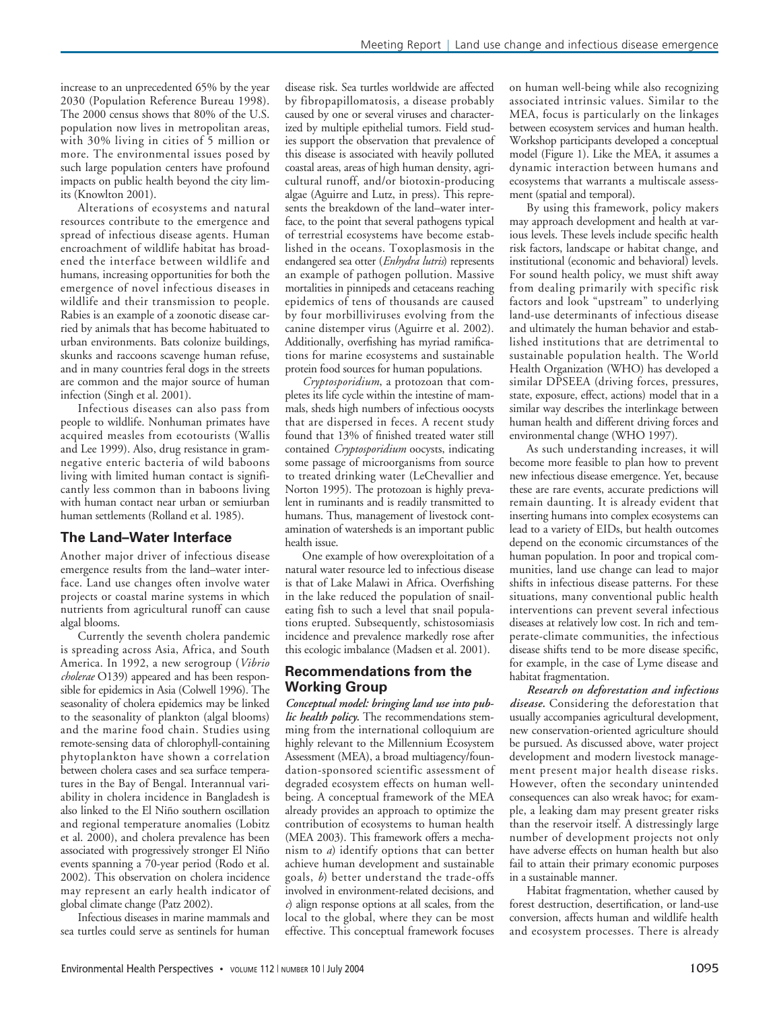increase to an unprecedented 65% by the year 2030 (Population Reference Bureau 1998). The 2000 census shows that 80% of the U.S. population now lives in metropolitan areas, with 30% living in cities of 5 million or more. The environmental issues posed by such large population centers have profound impacts on public health beyond the city limits (Knowlton 2001).

Alterations of ecosystems and natural resources contribute to the emergence and spread of infectious disease agents. Human encroachment of wildlife habitat has broadened the interface between wildlife and humans, increasing opportunities for both the emergence of novel infectious diseases in wildlife and their transmission to people. Rabies is an example of a zoonotic disease carried by animals that has become habituated to urban environments. Bats colonize buildings, skunks and raccoons scavenge human refuse, and in many countries feral dogs in the streets are common and the major source of human infection (Singh et al. 2001).

Infectious diseases can also pass from people to wildlife. Nonhuman primates have acquired measles from ecotourists (Wallis and Lee 1999). Also, drug resistance in gramnegative enteric bacteria of wild baboons living with limited human contact is significantly less common than in baboons living with human contact near urban or semiurban human settlements (Rolland et al. 1985).

## **The Land–Water Interface**

Another major driver of infectious disease emergence results from the land–water interface. Land use changes often involve water projects or coastal marine systems in which nutrients from agricultural runoff can cause algal blooms.

Currently the seventh cholera pandemic is spreading across Asia, Africa, and South America. In 1992, a new serogroup (*Vibrio cholerae* O139) appeared and has been responsible for epidemics in Asia (Colwell 1996). The seasonality of cholera epidemics may be linked to the seasonality of plankton (algal blooms) and the marine food chain. Studies using remote-sensing data of chlorophyll-containing phytoplankton have shown a correlation between cholera cases and sea surface temperatures in the Bay of Bengal. Interannual variability in cholera incidence in Bangladesh is also linked to the El Niño southern oscillation and regional temperature anomalies (Lobitz et al. 2000), and cholera prevalence has been associated with progressively stronger El Niño events spanning a 70-year period (Rodo et al. 2002). This observation on cholera incidence may represent an early health indicator of global climate change (Patz 2002).

Infectious diseases in marine mammals and sea turtles could serve as sentinels for human disease risk. Sea turtles worldwide are affected by fibropapillomatosis, a disease probably caused by one or several viruses and characterized by multiple epithelial tumors. Field studies support the observation that prevalence of this disease is associated with heavily polluted coastal areas, areas of high human density, agricultural runoff, and/or biotoxin-producing algae (Aguirre and Lutz, in press). This represents the breakdown of the land–water interface, to the point that several pathogens typical of terrestrial ecosystems have become established in the oceans. Toxoplasmosis in the endangered sea otter (*Enhydra lutris*) represents an example of pathogen pollution. Massive mortalities in pinnipeds and cetaceans reaching epidemics of tens of thousands are caused by four morbilliviruses evolving from the canine distemper virus (Aguirre et al. 2002). Additionally, overfishing has myriad ramifications for marine ecosystems and sustainable protein food sources for human populations.

*Cryptosporidium*, a protozoan that completes its life cycle within the intestine of mammals, sheds high numbers of infectious oocysts that are dispersed in feces. A recent study found that 13% of finished treated water still contained *Cryptosporidium* oocysts, indicating some passage of microorganisms from source to treated drinking water (LeChevallier and Norton 1995). The protozoan is highly prevalent in ruminants and is readily transmitted to humans. Thus, management of livestock contamination of watersheds is an important public health issue.

One example of how overexploitation of a natural water resource led to infectious disease is that of Lake Malawi in Africa. Overfishing in the lake reduced the population of snaileating fish to such a level that snail populations erupted. Subsequently, schistosomiasis incidence and prevalence markedly rose after this ecologic imbalance (Madsen et al. 2001).

## **Recommendations from the Working Group**

*Conceptual model: bringing land use into public health policy.* The recommendations stemming from the international colloquium are highly relevant to the Millennium Ecosystem Assessment (MEA), a broad multiagency/foundation-sponsored scientific assessment of degraded ecosystem effects on human wellbeing. A conceptual framework of the MEA already provides an approach to optimize the contribution of ecosystems to human health (MEA 2003). This framework offers a mechanism to *a*) identify options that can better achieve human development and sustainable goals, *b*) better understand the trade-offs involved in environment-related decisions, and *c*) align response options at all scales, from the local to the global, where they can be most effective. This conceptual framework focuses

on human well-being while also recognizing associated intrinsic values. Similar to the MEA, focus is particularly on the linkages between ecosystem services and human health. Workshop participants developed a conceptual model (Figure 1). Like the MEA, it assumes a dynamic interaction between humans and ecosystems that warrants a multiscale assessment (spatial and temporal).

By using this framework, policy makers may approach development and health at various levels. These levels include specific health risk factors, landscape or habitat change, and institutional (economic and behavioral) levels. For sound health policy, we must shift away from dealing primarily with specific risk factors and look "upstream" to underlying land-use determinants of infectious disease and ultimately the human behavior and established institutions that are detrimental to sustainable population health. The World Health Organization (WHO) has developed a similar DPSEEA (driving forces, pressures, state, exposure, effect, actions) model that in a similar way describes the interlinkage between human health and different driving forces and environmental change (WHO 1997).

As such understanding increases, it will become more feasible to plan how to prevent new infectious disease emergence. Yet, because these are rare events, accurate predictions will remain daunting. It is already evident that inserting humans into complex ecosystems can lead to a variety of EIDs, but health outcomes depend on the economic circumstances of the human population. In poor and tropical communities, land use change can lead to major shifts in infectious disease patterns. For these situations, many conventional public health interventions can prevent several infectious diseases at relatively low cost. In rich and temperate-climate communities, the infectious disease shifts tend to be more disease specific, for example, in the case of Lyme disease and habitat fragmentation.

*Research on deforestation and infectious disease.* Considering the deforestation that usually accompanies agricultural development, new conservation-oriented agriculture should be pursued. As discussed above, water project development and modern livestock management present major health disease risks. However, often the secondary unintended consequences can also wreak havoc; for example, a leaking dam may present greater risks than the reservoir itself. A distressingly large number of development projects not only have adverse effects on human health but also fail to attain their primary economic purposes in a sustainable manner.

Habitat fragmentation, whether caused by forest destruction, desertification, or land-use conversion, affects human and wildlife health and ecosystem processes. There is already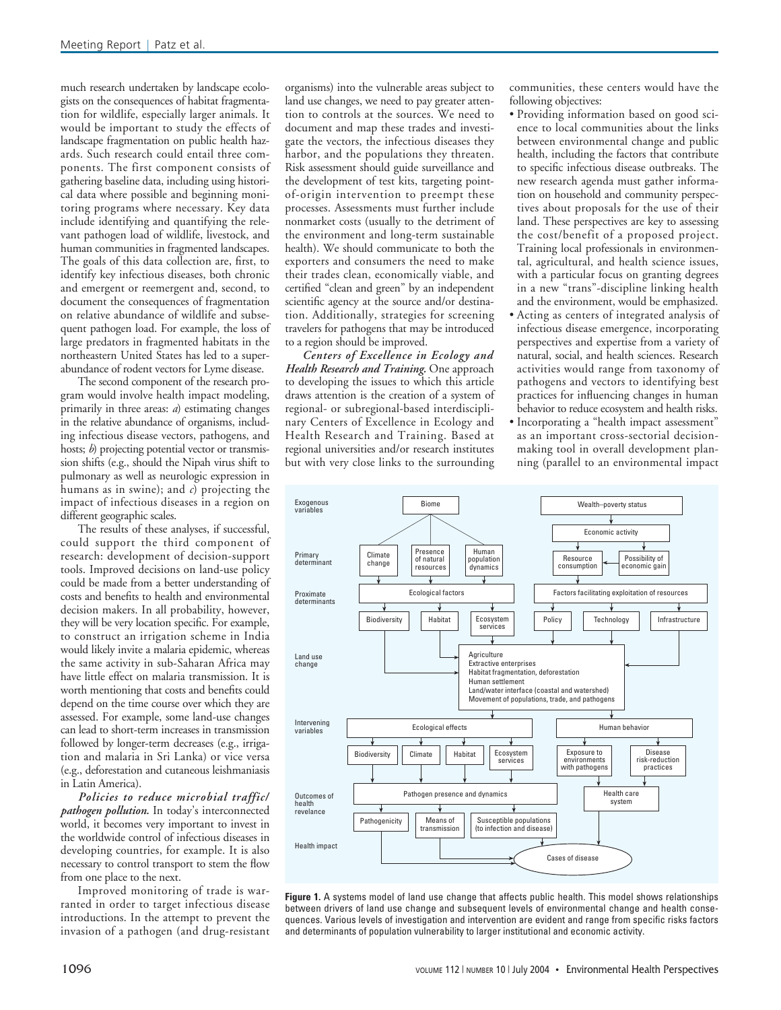much research undertaken by landscape ecologists on the consequences of habitat fragmentation for wildlife, especially larger animals. It would be important to study the effects of landscape fragmentation on public health hazards. Such research could entail three components. The first component consists of gathering baseline data, including using historical data where possible and beginning monitoring programs where necessary. Key data include identifying and quantifying the relevant pathogen load of wildlife, livestock, and human communities in fragmented landscapes. The goals of this data collection are, first, to identify key infectious diseases, both chronic and emergent or reemergent and, second, to document the consequences of fragmentation on relative abundance of wildlife and subsequent pathogen load. For example, the loss of large predators in fragmented habitats in the northeastern United States has led to a superabundance of rodent vectors for Lyme disease.

The second component of the research program would involve health impact modeling, primarily in three areas: *a*) estimating changes in the relative abundance of organisms, including infectious disease vectors, pathogens, and hosts; *b*) projecting potential vector or transmission shifts (e.g., should the Nipah virus shift to pulmonary as well as neurologic expression in humans as in swine); and *c*) projecting the impact of infectious diseases in a region on different geographic scales.

The results of these analyses, if successful, could support the third component of research: development of decision-support tools. Improved decisions on land-use policy could be made from a better understanding of costs and benefits to health and environmental decision makers. In all probability, however, they will be very location specific. For example, to construct an irrigation scheme in India would likely invite a malaria epidemic, whereas the same activity in sub-Saharan Africa may have little effect on malaria transmission. It is worth mentioning that costs and benefits could depend on the time course over which they are assessed. For example, some land-use changes can lead to short-term increases in transmission followed by longer-term decreases (e.g., irrigation and malaria in Sri Lanka) or vice versa (e.g., deforestation and cutaneous leishmaniasis in Latin America).

*Policies to reduce microbial traffic/ pathogen pollution.* In today's interconnected world, it becomes very important to invest in the worldwide control of infectious diseases in developing countries, for example. It is also necessary to control transport to stem the flow from one place to the next.

Improved monitoring of trade is warranted in order to target infectious disease introductions. In the attempt to prevent the invasion of a pathogen (and drug-resistant

organisms) into the vulnerable areas subject to land use changes, we need to pay greater attention to controls at the sources. We need to document and map these trades and investigate the vectors, the infectious diseases they harbor, and the populations they threaten. Risk assessment should guide surveillance and the development of test kits, targeting pointof-origin intervention to preempt these processes. Assessments must further include nonmarket costs (usually to the detriment of the environment and long-term sustainable health). We should communicate to both the exporters and consumers the need to make their trades clean, economically viable, and certified "clean and green" by an independent scientific agency at the source and/or destination. Additionally, strategies for screening travelers for pathogens that may be introduced to a region should be improved.

*Centers of Excellence in Ecology and Health Research and Training.* One approach to developing the issues to which this article draws attention is the creation of a system of regional- or subregional-based interdisciplinary Centers of Excellence in Ecology and Health Research and Training. Based at regional universities and/or research institutes but with very close links to the surrounding

communities, these centers would have the following objectives:

- Providing information based on good science to local communities about the links between environmental change and public health, including the factors that contribute to specific infectious disease outbreaks. The new research agenda must gather information on household and community perspectives about proposals for the use of their land. These perspectives are key to assessing the cost/benefit of a proposed project. Training local professionals in environmental, agricultural, and health science issues, with a particular focus on granting degrees in a new "trans"-discipline linking health and the environment, would be emphasized.
- Acting as centers of integrated analysis of infectious disease emergence, incorporating perspectives and expertise from a variety of natural, social, and health sciences. Research activities would range from taxonomy of pathogens and vectors to identifying best practices for influencing changes in human behavior to reduce ecosystem and health risks.
- Incorporating a "health impact assessment" as an important cross-sectorial decisionmaking tool in overall development planning (parallel to an environmental impact



**Figure 1.** A systems model of land use change that affects public health. This model shows relationships between drivers of land use change and subsequent levels of environmental change and health consequences. Various levels of investigation and intervention are evident and range from specific risks factors and determinants of population vulnerability to larger institutional and economic activity.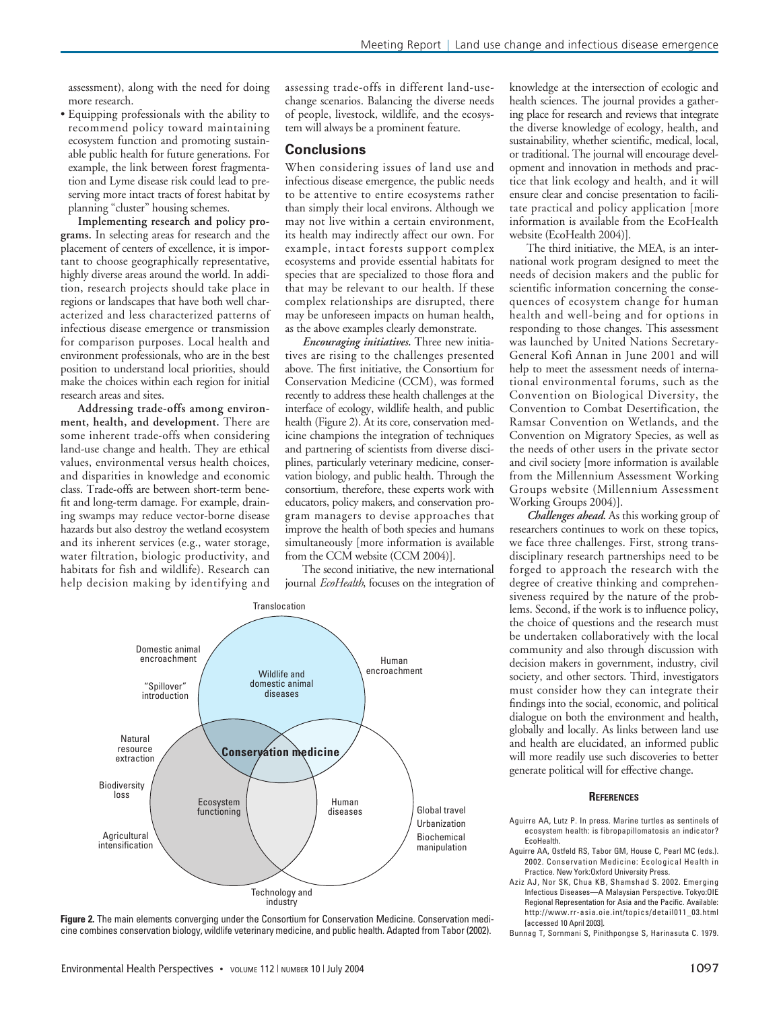assessment), along with the need for doing more research.

• Equipping professionals with the ability to recommend policy toward maintaining ecosystem function and promoting sustainable public health for future generations. For example, the link between forest fragmentation and Lyme disease risk could lead to preserving more intact tracts of forest habitat by planning "cluster" housing schemes.

**Implementing research and policy programs.** In selecting areas for research and the placement of centers of excellence, it is important to choose geographically representative, highly diverse areas around the world. In addition, research projects should take place in regions or landscapes that have both well characterized and less characterized patterns of infectious disease emergence or transmission for comparison purposes. Local health and environment professionals, who are in the best position to understand local priorities, should make the choices within each region for initial research areas and sites.

**Addressing trade-offs among environment, health, and development.** There are some inherent trade-offs when considering land-use change and health. They are ethical values, environmental versus health choices, and disparities in knowledge and economic class. Trade-offs are between short-term benefit and long-term damage. For example, draining swamps may reduce vector-borne disease hazards but also destroy the wetland ecosystem and its inherent services (e.g., water storage, water filtration, biologic productivity, and habitats for fish and wildlife). Research can help decision making by identifying and assessing trade-offs in different land-usechange scenarios. Balancing the diverse needs of people, livestock, wildlife, and the ecosystem will always be a prominent feature.

#### **Conclusions**

When considering issues of land use and infectious disease emergence, the public needs to be attentive to entire ecosystems rather than simply their local environs. Although we may not live within a certain environment, its health may indirectly affect our own. For example, intact forests support complex ecosystems and provide essential habitats for species that are specialized to those flora and that may be relevant to our health. If these complex relationships are disrupted, there may be unforeseen impacts on human health, as the above examples clearly demonstrate.

*Encouraging initiatives.* Three new initiatives are rising to the challenges presented above. The first initiative, the Consortium for Conservation Medicine (CCM), was formed recently to address these health challenges at the interface of ecology, wildlife health, and public health (Figure 2). At its core, conservation medicine champions the integration of techniques and partnering of scientists from diverse disciplines, particularly veterinary medicine, conservation biology, and public health. Through the consortium, therefore, these experts work with educators, policy makers, and conservation program managers to devise approaches that improve the health of both species and humans simultaneously [more information is available from the CCM website (CCM 2004)].

The second initiative, the new international journal *EcoHealth*, focuses on the integration of



**Figure 2.** The main elements converging under the Consortium for Conservation Medicine. Conservation medicine combines conservation biology, wildlife veterinary medicine, and public health. Adapted from Tabor (2002).

knowledge at the intersection of ecologic and health sciences. The journal provides a gathering place for research and reviews that integrate the diverse knowledge of ecology, health, and sustainability, whether scientific, medical, local, or traditional. The journal will encourage development and innovation in methods and practice that link ecology and health, and it will ensure clear and concise presentation to facilitate practical and policy application [more information is available from the EcoHealth website (EcoHealth 2004)].

The third initiative, the MEA, is an international work program designed to meet the needs of decision makers and the public for scientific information concerning the consequences of ecosystem change for human health and well-being and for options in responding to those changes. This assessment was launched by United Nations Secretary-General Kofi Annan in June 2001 and will help to meet the assessment needs of international environmental forums, such as the Convention on Biological Diversity, the Convention to Combat Desertification, the Ramsar Convention on Wetlands, and the Convention on Migratory Species, as well as the needs of other users in the private sector and civil society [more information is available from the Millennium Assessment Working Groups website (Millennium Assessment Working Groups 2004)].

*Challenges ahead.* As this working group of researchers continues to work on these topics, we face three challenges. First, strong transdisciplinary research partnerships need to be forged to approach the research with the degree of creative thinking and comprehensiveness required by the nature of the problems. Second, if the work is to influence policy, the choice of questions and the research must be undertaken collaboratively with the local community and also through discussion with decision makers in government, industry, civil society, and other sectors. Third, investigators must consider how they can integrate their findings into the social, economic, and political dialogue on both the environment and health, globally and locally. As links between land use and health are elucidated, an informed public will more readily use such discoveries to better generate political will for effective change.

#### **REFERENCES**

- Aguirre AA, Lutz P. In press. Marine turtles as sentinels of ecosystem health: is fibropapillomatosis an indicator? EcoHealth.
- Aguirre AA, Ostfeld RS, Tabor GM, House C, Pearl MC (eds.). 2002. Conservation Medicine: Ecological Health in Practice. New York:Oxford University Press.
- Aziz AJ, Nor SK, Chua KB, Shamshad S. 2002. Emerging Infectious Diseases—A Malaysian Perspective. Tokyo:OIE Regional Representation for Asia and the Pacific. Available: http://www.rr-asia.oie.int/topics/detail011\_03.html [accessed 10 April 2003].
- Bunnag T, Sornmani S, Pinithpongse S, Harinasuta C. 1979.